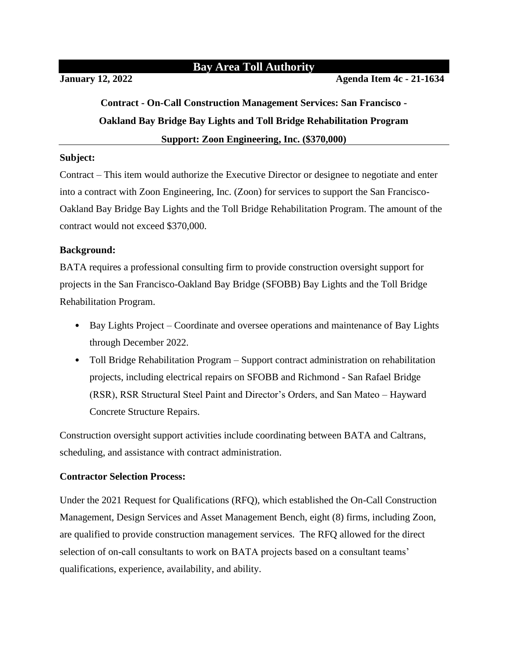## **Bay Area Toll Authority**

**January 12, 2022 Agenda Item 4c - 21-1634**

# **Contract - On-Call Construction Management Services: San Francisco - Oakland Bay Bridge Bay Lights and Toll Bridge Rehabilitation Program Support: Zoon Engineering, Inc. (\$370,000)**

### **Subject:**

Contract – This item would authorize the Executive Director or designee to negotiate and enter into a contract with Zoon Engineering, Inc. (Zoon) for services to support the San Francisco-Oakland Bay Bridge Bay Lights and the Toll Bridge Rehabilitation Program. The amount of the contract would not exceed \$370,000.

## **Background:**

BATA requires a professional consulting firm to provide construction oversight support for projects in the San Francisco-Oakland Bay Bridge (SFOBB) Bay Lights and the Toll Bridge Rehabilitation Program.

- Bay Lights Project Coordinate and oversee operations and maintenance of Bay Lights through December 2022.
- Toll Bridge Rehabilitation Program Support contract administration on rehabilitation projects, including electrical repairs on SFOBB and Richmond - San Rafael Bridge (RSR), RSR Structural Steel Paint and Director's Orders, and San Mateo – Hayward Concrete Structure Repairs.

Construction oversight support activities include coordinating between BATA and Caltrans, scheduling, and assistance with contract administration.

## **Contractor Selection Process:**

Under the 2021 Request for Qualifications (RFQ), which established the On-Call Construction Management, Design Services and Asset Management Bench, eight (8) firms, including Zoon, are qualified to provide construction management services. The RFQ allowed for the direct selection of on-call consultants to work on BATA projects based on a consultant teams' qualifications, experience, availability, and ability.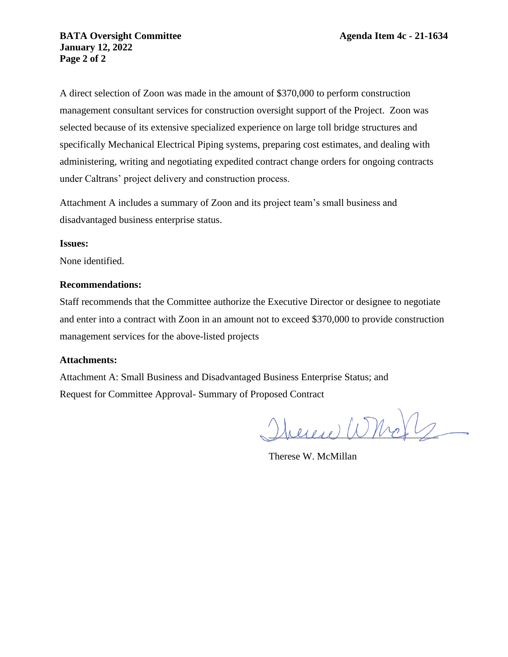A direct selection of Zoon was made in the amount of \$370,000 to perform construction management consultant services for construction oversight support of the Project. Zoon was selected because of its extensive specialized experience on large toll bridge structures and specifically Mechanical Electrical Piping systems, preparing cost estimates, and dealing with administering, writing and negotiating expedited contract change orders for ongoing contracts under Caltrans' project delivery and construction process.

Attachment A includes a summary of Zoon and its project team's small business and disadvantaged business enterprise status.

#### **Issues:**

None identified.

#### **Recommendations:**

Staff recommends that the Committee authorize the Executive Director or designee to negotiate and enter into a contract with Zoon in an amount not to exceed \$370,000 to provide construction management services for the above-listed projects

#### **Attachments:**

Attachment A: Small Business and Disadvantaged Business Enterprise Status; and Request for Committee Approval- Summary of Proposed Contract

 $\mathcal{Q}_{\text{heles}}(\mathcal{Q})$ 

Therese W. McMillan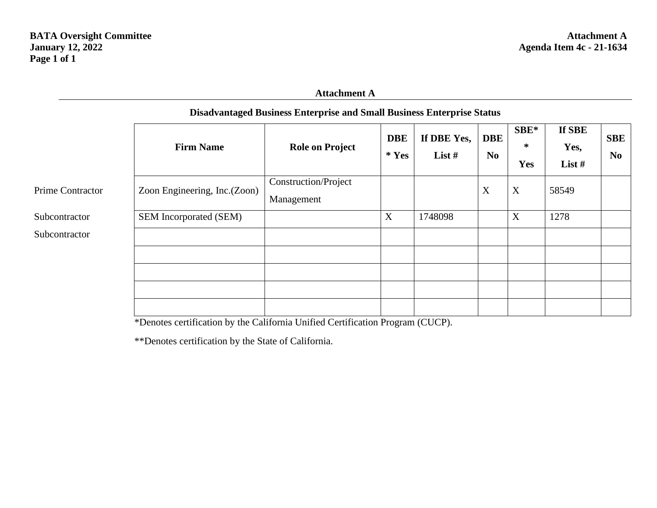## **Attachment A**

|                         | <b>Firm Name</b>             | <b>Role on Project</b>                    | <b>DBE</b><br>$*$ Yes | If DBE Yes,<br>List $#$ | <b>DBE</b><br>N <sub>0</sub> | SBE*<br>$\ast$<br><b>Yes</b> | If SBE<br>Yes,<br>List # | <b>SBE</b><br>N <sub>0</sub> |
|-------------------------|------------------------------|-------------------------------------------|-----------------------|-------------------------|------------------------------|------------------------------|--------------------------|------------------------------|
| <b>Prime Contractor</b> | Zoon Engineering, Inc.(Zoon) | <b>Construction/Project</b><br>Management |                       |                         | X                            | X                            | 58549                    |                              |
| Subcontractor           | SEM Incorporated (SEM)       |                                           | X                     | 1748098                 |                              | X                            | 1278                     |                              |
| Subcontractor           |                              |                                           |                       |                         |                              |                              |                          |                              |
|                         |                              |                                           |                       |                         |                              |                              |                          |                              |
|                         |                              |                                           |                       |                         |                              |                              |                          |                              |
|                         |                              |                                           |                       |                         |                              |                              |                          |                              |
|                         |                              |                                           |                       |                         |                              |                              |                          |                              |

## **Disadvantaged Business Enterprise and Small Business Enterprise Status**

\*Denotes certification by the California Unified Certification Program (CUCP).

\*\*Denotes certification by the State of California.